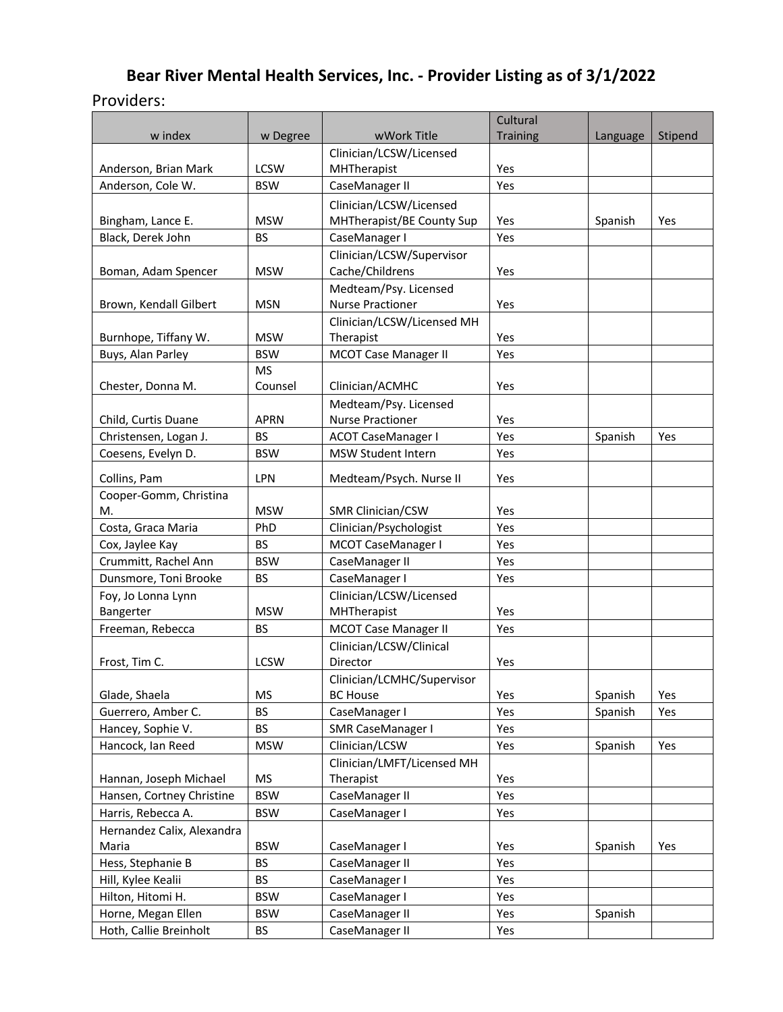# **Bear River Mental Health Services, Inc. - Provider Listing as of 3/1/2022** Providers:

|                                         |                         |                             | Cultural        |          |         |
|-----------------------------------------|-------------------------|-----------------------------|-----------------|----------|---------|
| w index                                 | w Degree                | wWork Title                 | <b>Training</b> | Language | Stipend |
|                                         |                         | Clinician/LCSW/Licensed     |                 |          |         |
| Anderson, Brian Mark                    | <b>LCSW</b>             | MHTherapist                 | Yes             |          |         |
| Anderson, Cole W.                       | <b>BSW</b>              | CaseManager II              | Yes             |          |         |
|                                         |                         | Clinician/LCSW/Licensed     |                 |          |         |
| Bingham, Lance E.                       | <b>MSW</b>              | MHTherapist/BE County Sup   | Yes             | Spanish  | Yes     |
| Black, Derek John                       | <b>BS</b>               | CaseManager I               | Yes             |          |         |
|                                         |                         | Clinician/LCSW/Supervisor   |                 |          |         |
| Boman, Adam Spencer                     | <b>MSW</b>              | Cache/Childrens             | Yes             |          |         |
|                                         |                         | Medteam/Psy. Licensed       |                 |          |         |
| Brown, Kendall Gilbert                  | <b>MSN</b>              | <b>Nurse Practioner</b>     | Yes             |          |         |
|                                         |                         | Clinician/LCSW/Licensed MH  |                 |          |         |
| Burnhope, Tiffany W.                    | <b>MSW</b>              | Therapist                   | Yes             |          |         |
| Buys, Alan Parley                       | <b>BSW</b>              | <b>MCOT Case Manager II</b> | Yes             |          |         |
|                                         | <b>MS</b>               |                             |                 |          |         |
| Chester, Donna M.                       | Counsel                 | Clinician/ACMHC             | Yes             |          |         |
|                                         |                         | Medteam/Psy. Licensed       |                 |          |         |
| Child, Curtis Duane                     | <b>APRN</b>             | <b>Nurse Practioner</b>     | Yes             |          |         |
| Christensen, Logan J.                   | <b>BS</b>               | <b>ACOT CaseManager I</b>   | Yes             | Spanish  | Yes     |
| Coesens, Evelyn D.                      | <b>BSW</b>              | <b>MSW Student Intern</b>   | Yes             |          |         |
| Collins, Pam                            | LPN                     | Medteam/Psych. Nurse II     | Yes             |          |         |
| Cooper-Gomm, Christina                  |                         |                             |                 |          |         |
| M.                                      | <b>MSW</b>              | SMR Clinician/CSW           | Yes             |          |         |
| Costa, Graca Maria                      | PhD                     | Clinician/Psychologist      | Yes             |          |         |
| Cox, Jaylee Kay                         | <b>BS</b>               | MCOT CaseManager I          | Yes             |          |         |
| Crummitt, Rachel Ann                    | <b>BSW</b>              | CaseManager II              | Yes             |          |         |
| Dunsmore, Toni Brooke                   | <b>BS</b>               | CaseManager I               | Yes             |          |         |
| Foy, Jo Lonna Lynn                      |                         | Clinician/LCSW/Licensed     |                 |          |         |
| Bangerter                               | <b>MSW</b>              | MHTherapist                 | Yes             |          |         |
| Freeman, Rebecca                        | <b>BS</b>               | <b>MCOT Case Manager II</b> | Yes             |          |         |
|                                         |                         | Clinician/LCSW/Clinical     |                 |          |         |
| Frost, Tim C.                           | <b>LCSW</b>             | Director                    | Yes             |          |         |
|                                         |                         | Clinician/LCMHC/Supervisor  |                 |          |         |
| Glade, Shaela                           | <b>MS</b>               | <b>BC House</b>             | Yes             | Spanish  | Yes     |
| Guerrero, Amber C.                      | BS                      | CaseManager I               | Yes             | Spanish  | Yes     |
| Hancey, Sophie V.                       | <b>BS</b>               | SMR CaseManager I           | Yes             |          |         |
| Hancock, Ian Reed                       | <b>MSW</b>              | Clinician/LCSW              | Yes             | Spanish  | Yes     |
|                                         |                         | Clinician/LMFT/Licensed MH  |                 |          |         |
| Hannan, Joseph Michael                  | <b>MS</b>               | Therapist                   | Yes             |          |         |
| Hansen, Cortney Christine               | <b>BSW</b>              | CaseManager II              | Yes             |          |         |
| Harris, Rebecca A.                      | <b>BSW</b>              | CaseManager I               | Yes             |          |         |
| Hernandez Calix, Alexandra              |                         |                             |                 |          |         |
| Maria<br>Hess, Stephanie B              | <b>BSW</b><br><b>BS</b> | CaseManager I               | Yes             | Spanish  | Yes     |
|                                         | BS                      | CaseManager II              | Yes             |          |         |
| Hill, Kylee Kealii<br>Hilton, Hitomi H. |                         | CaseManager I               | Yes             |          |         |
|                                         | <b>BSW</b>              | CaseManager I               | Yes             |          |         |
| Horne, Megan Ellen                      | <b>BSW</b><br>BS        | CaseManager II              | Yes             | Spanish  |         |
| Hoth, Callie Breinholt                  |                         | CaseManager II              | Yes             |          |         |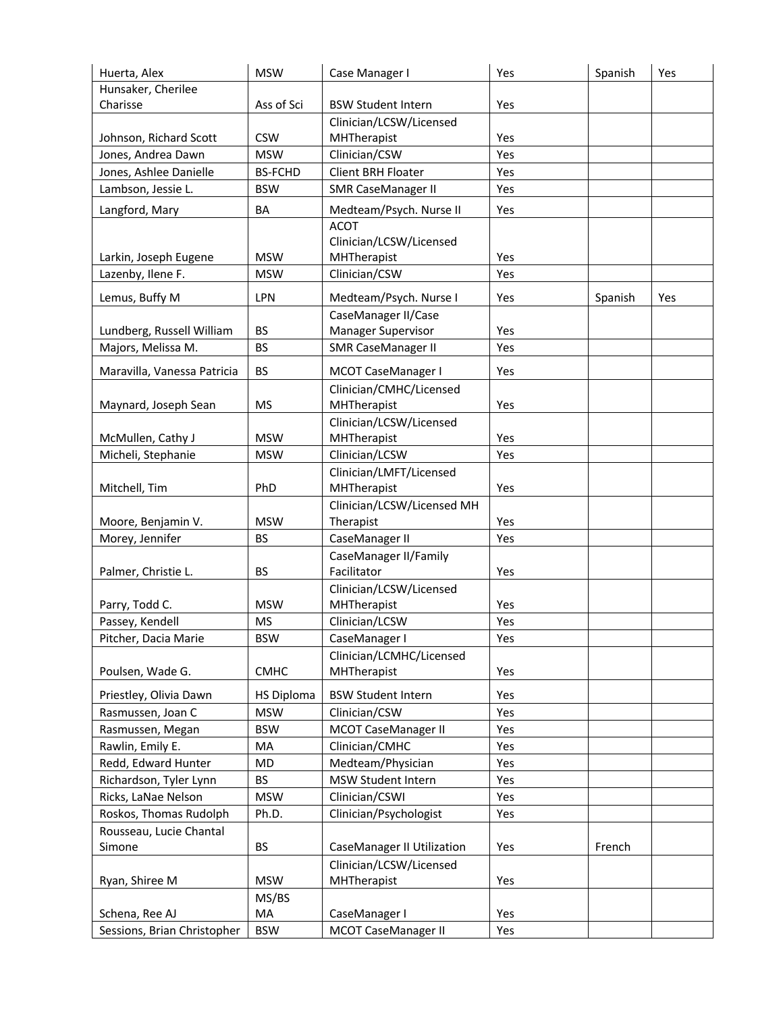| Huerta, Alex                | <b>MSW</b>        | Case Manager I                    | Yes | Spanish | Yes |
|-----------------------------|-------------------|-----------------------------------|-----|---------|-----|
| Hunsaker, Cherilee          |                   |                                   |     |         |     |
| Charisse                    | Ass of Sci        | <b>BSW Student Intern</b>         | Yes |         |     |
|                             |                   | Clinician/LCSW/Licensed           |     |         |     |
| Johnson, Richard Scott      | <b>CSW</b>        | MHTherapist                       | Yes |         |     |
| Jones, Andrea Dawn          | <b>MSW</b>        | Clinician/CSW                     | Yes |         |     |
| Jones, Ashlee Danielle      | <b>BS-FCHD</b>    | <b>Client BRH Floater</b>         | Yes |         |     |
| Lambson, Jessie L.          | <b>BSW</b>        | <b>SMR CaseManager II</b>         | Yes |         |     |
| Langford, Mary              | BA                | Medteam/Psych. Nurse II           | Yes |         |     |
|                             |                   | <b>ACOT</b>                       |     |         |     |
|                             |                   | Clinician/LCSW/Licensed           |     |         |     |
| Larkin, Joseph Eugene       | <b>MSW</b>        | MHTherapist                       | Yes |         |     |
| Lazenby, Ilene F.           | <b>MSW</b>        | Clinician/CSW                     | Yes |         |     |
| Lemus, Buffy M              | LPN               | Medteam/Psych. Nurse I            | Yes | Spanish | Yes |
|                             |                   | CaseManager II/Case               |     |         |     |
| Lundberg, Russell William   | <b>BS</b>         | Manager Supervisor                | Yes |         |     |
| Majors, Melissa M.          | <b>BS</b>         | <b>SMR CaseManager II</b>         | Yes |         |     |
| Maravilla, Vanessa Patricia | <b>BS</b>         | MCOT CaseManager I                | Yes |         |     |
|                             |                   | Clinician/CMHC/Licensed           |     |         |     |
| Maynard, Joseph Sean        | <b>MS</b>         | MHTherapist                       | Yes |         |     |
|                             |                   | Clinician/LCSW/Licensed           |     |         |     |
| McMullen, Cathy J           | <b>MSW</b>        | MHTherapist                       | Yes |         |     |
| Micheli, Stephanie          | <b>MSW</b>        | Clinician/LCSW                    | Yes |         |     |
|                             |                   | Clinician/LMFT/Licensed           |     |         |     |
| Mitchell, Tim               | PhD               | MHTherapist                       | Yes |         |     |
|                             |                   | Clinician/LCSW/Licensed MH        |     |         |     |
| Moore, Benjamin V.          | <b>MSW</b>        | Therapist                         | Yes |         |     |
| Morey, Jennifer             | <b>BS</b>         | CaseManager II                    | Yes |         |     |
|                             |                   | CaseManager II/Family             |     |         |     |
| Palmer, Christie L.         | <b>BS</b>         | Facilitator                       | Yes |         |     |
|                             |                   | Clinician/LCSW/Licensed           |     |         |     |
| Parry, Todd C.              | <b>MSW</b>        | MHTherapist                       | Yes |         |     |
| Passey, Kendell             | <b>MS</b>         | Clinician/LCSW                    | Yes |         |     |
| Pitcher, Dacia Marie        | <b>BSW</b>        | CaseManager I                     | Yes |         |     |
|                             |                   | Clinician/LCMHC/Licensed          |     |         |     |
| Poulsen, Wade G.            | <b>CMHC</b>       | MHTherapist                       | Yes |         |     |
| Priestley, Olivia Dawn      | <b>HS Diploma</b> | <b>BSW Student Intern</b>         | Yes |         |     |
| Rasmussen, Joan C           | <b>MSW</b>        | Clinician/CSW                     | Yes |         |     |
| Rasmussen, Megan            | <b>BSW</b>        | <b>MCOT CaseManager II</b>        | Yes |         |     |
| Rawlin, Emily E.            | MA                | Clinician/CMHC                    | Yes |         |     |
| Redd, Edward Hunter         | MD.               | Medteam/Physician                 | Yes |         |     |
| Richardson, Tyler Lynn      | <b>BS</b>         | MSW Student Intern                | Yes |         |     |
| Ricks, LaNae Nelson         | <b>MSW</b>        | Clinician/CSWI                    | Yes |         |     |
| Roskos, Thomas Rudolph      | Ph.D.             | Clinician/Psychologist            | Yes |         |     |
| Rousseau, Lucie Chantal     |                   |                                   |     |         |     |
| Simone                      | <b>BS</b>         | <b>CaseManager II Utilization</b> | Yes | French  |     |
|                             |                   | Clinician/LCSW/Licensed           |     |         |     |
| Ryan, Shiree M              | <b>MSW</b>        | MHTherapist                       | Yes |         |     |
|                             | MS/BS             |                                   |     |         |     |
| Schena, Ree AJ              | MA                | CaseManager I                     | Yes |         |     |
| Sessions, Brian Christopher | <b>BSW</b>        | <b>MCOT CaseManager II</b>        | Yes |         |     |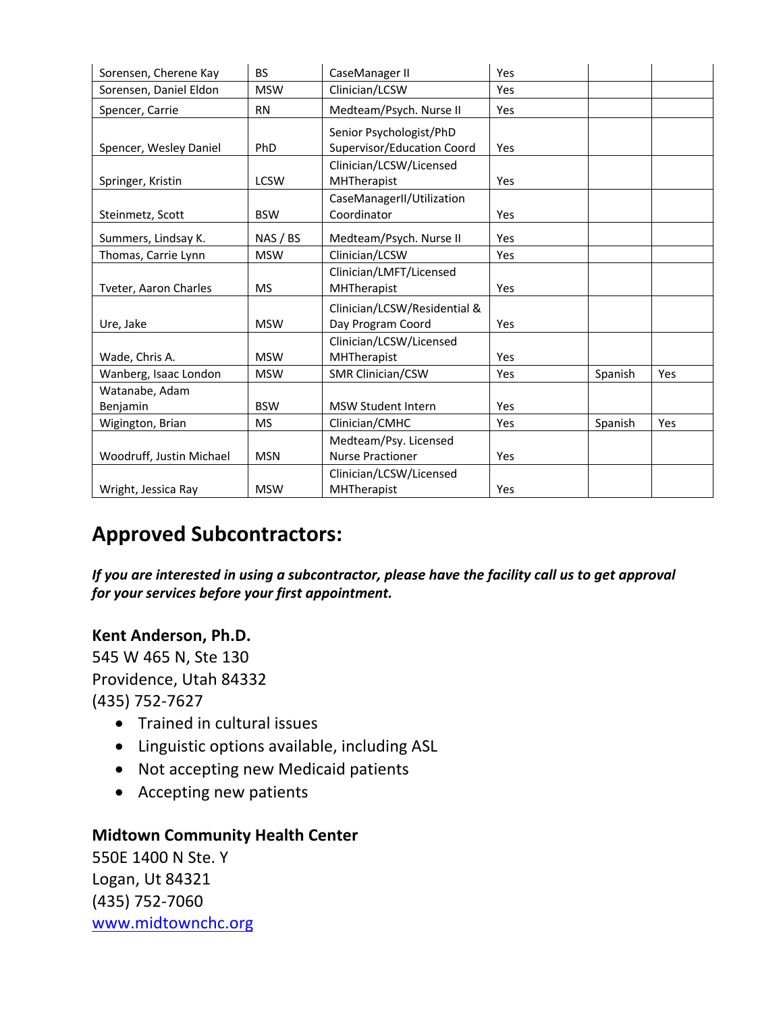| Sorensen, Cherene Kay      | <b>BS</b>   | CaseManager II                                        | Yes |         |     |
|----------------------------|-------------|-------------------------------------------------------|-----|---------|-----|
| Sorensen, Daniel Eldon     | <b>MSW</b>  | Clinician/LCSW                                        | Yes |         |     |
| Spencer, Carrie            | <b>RN</b>   | Medteam/Psych. Nurse II                               | Yes |         |     |
| Spencer, Wesley Daniel     | PhD         | Senior Psychologist/PhD<br>Supervisor/Education Coord | Yes |         |     |
| Springer, Kristin          | <b>LCSW</b> | Clinician/LCSW/Licensed<br><b>MHTherapist</b>         | Yes |         |     |
| Steinmetz, Scott           | <b>BSW</b>  | CaseManagerII/Utilization<br>Coordinator              | Yes |         |     |
| Summers, Lindsay K.        | NAS / BS    | Medteam/Psych. Nurse II                               | Yes |         |     |
| Thomas, Carrie Lynn        | <b>MSW</b>  | Clinician/LCSW                                        | Yes |         |     |
| Tveter, Aaron Charles      | <b>MS</b>   | Clinician/LMFT/Licensed<br>MHTherapist                | Yes |         |     |
| Ure, Jake                  | <b>MSW</b>  | Clinician/LCSW/Residential &<br>Day Program Coord     | Yes |         |     |
| Wade, Chris A.             | <b>MSW</b>  | Clinician/LCSW/Licensed<br>MHTherapist                | Yes |         |     |
| Wanberg, Isaac London      | <b>MSW</b>  | <b>SMR Clinician/CSW</b>                              | Yes | Spanish | Yes |
| Watanabe, Adam<br>Benjamin | <b>BSW</b>  | <b>MSW Student Intern</b>                             | Yes |         |     |
| Wigington, Brian           | <b>MS</b>   | Clinician/CMHC                                        | Yes | Spanish | Yes |
| Woodruff, Justin Michael   | <b>MSN</b>  | Medteam/Psy. Licensed<br><b>Nurse Practioner</b>      | Yes |         |     |
| Wright, Jessica Ray        | <b>MSW</b>  | Clinician/LCSW/Licensed<br><b>MHTherapist</b>         | Yes |         |     |

# **Approved Subcontractors:**

*If you are interested in using a subcontractor, please have the facility call us to get approval for your services before your first appointment.*

## **Kent Anderson, Ph.D.**

545 W 465 N, Ste 130 Providence, Utah 84332 (435) 752-7627

- Trained in cultural issues
- Linguistic options available, including ASL
- Not accepting new Medicaid patients
- Accepting new patients

#### **Midtown Community Health Center**

550E 1400 N Ste. Y Logan, Ut 84321 (435) 752-7060 www.midtownchc.org